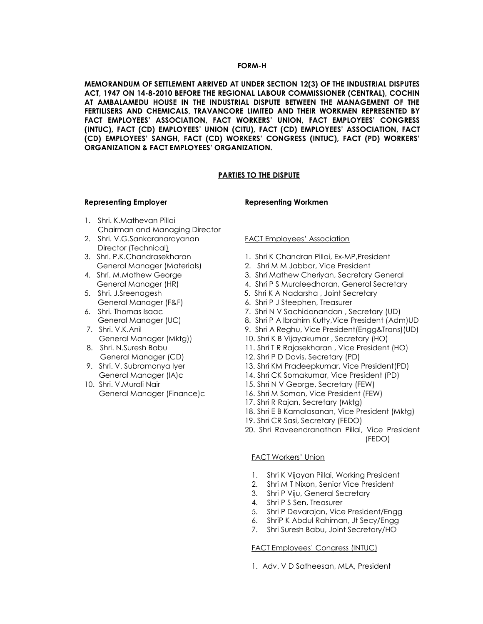#### FORM-H

MEMORANDUM OF SETTLEMENT ARRIVED AT UNDER SECTION 12(3) OF THE INDUSTRIAL DISPUTES ACT, 1947 ON 14-8-2010 BEFORE THE REGIONAL LABOUR COMMISSIONER (CENTRAL), COCHIN AT AMBALAMEDU HOUSE IN THE INDUSTRIAL DISPUTE BETWEEN THE MANAGEMENT OF THE FERTILISERS AND CHEMICALS, TRAVANCORE LIMITED AND THEIR WORKMEN REPRESENTED BY FACT EMPLOYEES' ASSOCIATION, FACT WORKERS' UNION, FACT EMPLOYEES' CONGRESS (INTUC), FACT (CD) EMPLOYEES' UNION (CITU), FACT (CD) EMPLOYEES' ASSOCIATION, FACT (CD) EMPLOYEES' SANGH, FACT (CD) WORKERS' CONGRESS (INTUC), FACT (PD) WORKERS' ORGANIZATION & FACT EMPLOYEES' ORGANIZATION.

#### PARTIES TO THE DISPUTE

#### Representing Employer **Representing Workmen**

- 1. Shri. K.Mathevan Pillai Chairman and Managing Director
- 2. Shri. V.G.Sankaranarayanan FACT Employees' Association Director (Technical)
- 
- 
- 
- 
- 
- 
- 
- 

- 3. Shri. P.K.Chandrasekharan 1. Shri K Chandran Pillai, Ex-MP, President
	- General Manager (Materials) 2. Shri M M Jabbar, Vice President
- 4. Shri. M.Mathew George 3. Shri Mathew Cheriyan, Secretary General
	- General Manager (HR) 4. Shri P S Muraleedharan, General Secretary
- 5. Shri. J.Sreenagesh 5. Shri K A Nadarsha , Joint Secretary
	- General Manager (F&F) 6. Shri P J Steephen, Treasurer
- 6. Shri. Thomas Isaac 7. Shri N V Sachidanandan , Secretary (UD)
	- General Manager (UC) 8. Shri P A Ibrahim Kutty, Vice President (Adm) UD
- 7. Shri. V.K.Anil 9. Shri A Reghu, Vice President(Engg&Trans)(UD)
	- General Manager (Mktg)) 10. Shri K B Vijayakumar , Secretary (HO)
- 8. Shri. N.Suresh Babu 11. Shri T R Rajasekharan , Vice President (HO)
	- General Manager (CD) 12. Shri P D Davis, Secretary (PD)
- 9. Shri. V. Subramonya Iyer 13. Shri KM Pradeepkumar, Vice President(PD)
	- General Manager (IA)c 14. Shri CK Somakumar, Vice President (PD)
- 10. Shri. V.Murali Nair 15. Shri N V George, Secretary (FEW)
	- General Manager (Finance)c 16. Shri M Soman, Vice President (FEW)
		- 17. Shri R Rajan, Secretary (Mktg)
		- 18. Shri E B Kamalasanan, Vice President (Mktg)
		- 19. Shri CR Sasi, Secretary (FEDO)
		- 20. Shri Raveendranathan Pillai, Vice President (FEDO)

#### FACT Workers' Union

- 1. Shri K Vijayan Pillai, Working President
- 2. Shri M T Nixon, Senior Vice President
- 3. Shri P Viju, General Secretary
- 4. Shri P S Sen, Treasurer
- 5. Shri P Devarajan, Vice President/Engg
- 6. ShriP K Abdul Rahiman, Jt Secy/Engg
- 7. Shri Suresh Babu, Joint Secretary/HO

#### FACT Employees' Congress (INTUC)

1. Adv. V D Satheesan, MLA, President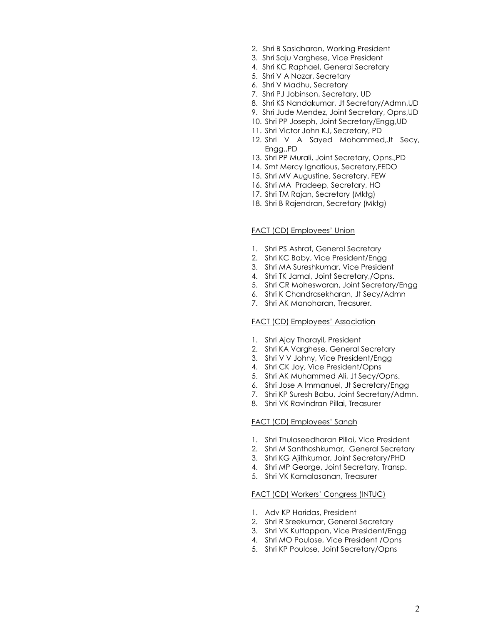- 2. Shri B Sasidharan, Working President
- 3. Shri Saju Varghese, Vice President
- 4. Shri KC Raphael, General Secretary
- 5. Shri V A Nazar, Secretary
- 6. Shri V Madhu, Secretary
- 7. Shri PJ Jobinson, Secretary, UD
- 8. Shri KS Nandakumar, Jt Secretary/Admn,UD
- 9. Shri Jude Mendez, Joint Secretary, Opns,UD
- 10. Shri PP Joseph, Joint Secretary/Engg,UD
- 11. Shri Victor John KJ, Secretary, PD
- 12. Shri V A Sayed Mohammed,Jt Secy, Engg.,PD
- 13. Shri PP Murali, Joint Secretary, Opns.,PD
- 14. Smt Mercy Ignatious, Secretary,FEDO
- 15. Shri MV Augustine, Secretary. FEW
- 16. Shri MA Pradeep, Secretary, HO
- 17. Shri TM Rajan, Secretary (Mktg)
- 18. Shri B Rajendran, Secretary (Mktg)

#### FACT (CD) Employees' Union

- 1. Shri PS Ashraf, General Secretary
- 2. Shri KC Baby, Vice President/Engg
- 3. Shri MA Sureshkumar, Vice President
- 4. Shri TK Jamal, Joint Secretary,/Opns.
- 5. Shri CR Moheswaran, Joint Secretary/Engg
- 6. Shri K Chandrasekharan, Jt Secy/Admn
- 7. Shri AK Manoharan, Treasurer.

#### FACT (CD) Employees' Association

- 1. Shri Ajay Tharayil, President
- 2. Shri KA Varghese, General Secretary
- 3. Shri V V Johny, Vice President/Engg
- 4. Shri CK Joy, Vice President/Opns
- 5. Shri AK Muhammed Ali, Jt Secy/Opns.
- 6. Shri Jose A Immanuel, Jt Secretary/Engg
- 7. Shri KP Suresh Babu, Joint Secretary/Admn.
- 8. Shri VK Ravindran Pillai, Treasurer

#### FACT (CD) Employees' Sangh

- 1. Shri Thulaseedharan Pillai, Vice President
- 2. Shri M Santhoshkumar, General Secretary
- 3. Shri KG Ajithkumar, Joint Secretary/PHD
- 4. Shri MP George, Joint Secretary, Transp.
- 5. Shri VK Kamalasanan, Treasurer

### FACT (CD) Workers' Congress (INTUC)

- 1. Adv KP Haridas, President
- 2. Shri R Sreekumar, General Secretary
- 3. Shri VK Kuttappan, Vice President/Engg
- 4. Shri MO Poulose, Vice President /Opns
- 5. Shri KP Poulose, Joint Secretary/Opns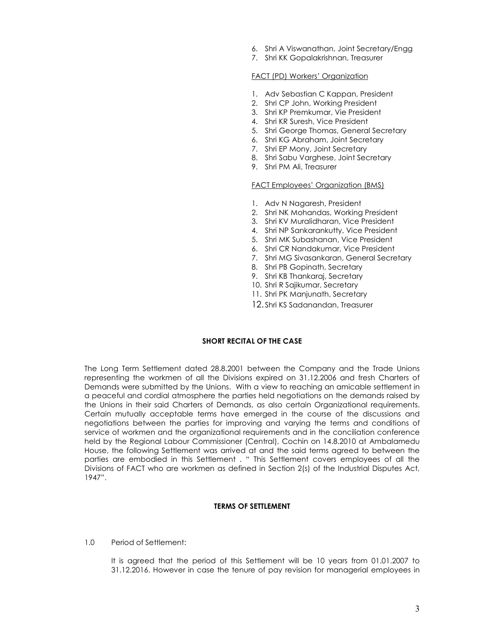- 6. Shri A Viswanathan, Joint Secretary/Engg
- 7. Shri KK Gopalakrishnan, Treasurer

#### FACT (PD) Workers' Organization

- 1. Adv Sebastian C Kappan, President
- 2. Shri CP John, Working President
- 3. Shri KP Premkumar, Vie President
- 4. Shri KR Suresh, Vice President
- 5. Shri George Thomas, General Secretary
- 6. Shri KG Abraham, Joint Secretary
- 7. Shri EP Mony, Joint Secretary
- 8. Shri Sabu Varghese, Joint Secretary
- 9. Shri PM Ali, Treasurer

#### FACT Employees' Organization (BMS)

- 1. Adv N Nagaresh, President
- 2. Shri NK Mohandas, Working President
- 3. Shri KV Muralidharan, Vice President
- 4. Shri NP Sankarankutty, Vice President
- 5. Shri MK Subashanan, Vice President
- 6. Shri CR Nandakumar, Vice President
- 7. Shri MG Sivasankaran, General Secretary
- 8. Shri PB Gopinath, Secretary
- 9. Shri KB Thankaraj, Secretary
- 10. Shri R Sajikumar, Secretary
- 11. Shri PK Manjunath, Secretary
- 12. Shri KS Sadanandan, Treasurer

#### SHORT RECITAL OF THE CASE

The Long Term Settlement dated 28.8.2001 between the Company and the Trade Unions representing the workmen of all the Divisions expired on 31.12.2006 and fresh Charters of Demands were submitted by the Unions. With a view to reaching an amicable settlement in a peaceful and cordial atmosphere the parties held negotiations on the demands raised by the Unions in their said Charters of Demands, as also certain Organizational requirements. Certain mutually acceptable terms have emerged in the course of the discussions and negotiations between the parties for improving and varying the terms and conditions of service of workmen and the organizational requirements and in the conciliation conference held by the Regional Labour Commissioner (Central), Cochin on 14.8.2010 at Ambalamedu House, the following Settlement was arrived at and the said terms agreed to between the parties are embodied in this Settlement . " This Settlement covers employees of all the Divisions of FACT who are workmen as defined in Section 2(s) of the Industrial Disputes Act, 1947".

#### TERMS OF SETTLEMENT

#### 1.0 Period of Settlement:

It is agreed that the period of this Settlement will be 10 years from 01.01.2007 to 31.12.2016. However in case the tenure of pay revision for managerial employees in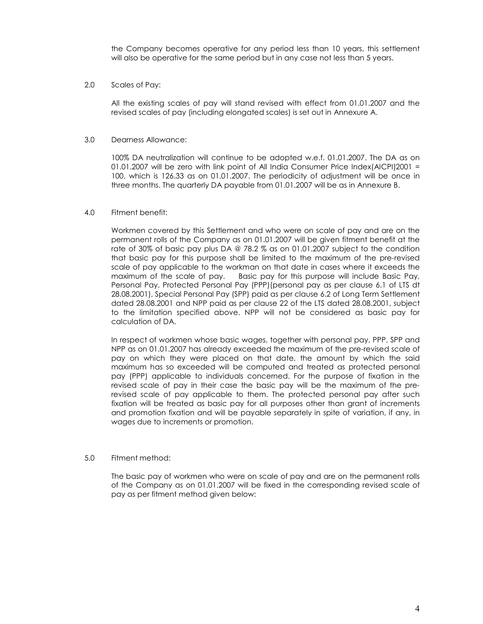the Company becomes operative for any period less than 10 years, this settlement will also be operative for the same period but in any case not less than 5 years.

#### 2.0 Scales of Pay:

All the existing scales of pay will stand revised with effect from 01.01.2007 and the revised scales of pay (including elongated scales) is set out in Annexure A.

#### 3.0 Dearness Allowance:

100% DA neutralization will continue to be adopted w.e.f. 01.01.2007. The DA as on 01.01.2007 will be zero with link point of All India Consumer Price Index(AICPI)2001 = 100, which is 126.33 as on 01.01.2007. The periodicity of adjustment will be once in three months. The quarterly DA payable from 01.01.2007 will be as in Annexure B.

#### 4.0 Fitment benefit:

Workmen covered by this Settlement and who were on scale of pay and are on the permanent rolls of the Company as on 01.01.2007 will be given fitment benefit at the rate of 30% of basic pay plus DA @ 78.2 % as on 01.01.2007 subject to the condition that basic pay for this purpose shall be limited to the maximum of the pre-revised scale of pay applicable to the workman on that date in cases where it exceeds the maximum of the scale of pay. Basic pay for this purpose will include Basic Pay, Personal Pay, Protected Personal Pay (PPP)(personal pay as per clause 6.1 of LTS dt 28.08.2001), Special Personal Pay (SPP) paid as per clause 6.2 of Long Term Settlement dated 28.08.2001 and NPP paid as per clause 22 of the LTS dated 28.08.2001, subject to the limitation specified above. NPP will not be considered as basic pay for calculation of DA.

In respect of workmen whose basic wages, together with personal pay, PPP, SPP and NPP as on 01.01.2007 has already exceeded the maximum of the pre-revised scale of pay on which they were placed on that date, the amount by which the said maximum has so exceeded will be computed and treated as protected personal pay (PPP) applicable to individuals concerned. For the purpose of fixation in the revised scale of pay in their case the basic pay will be the maximum of the prerevised scale of pay applicable to them. The protected personal pay after such fixation will be treated as basic pay for all purposes other than grant of increments and promotion fixation and will be payable separately in spite of variation, if any, in wages due to increments or promotion.

#### 5.0 Fitment method:

The basic pay of workmen who were on scale of pay and are on the permanent rolls of the Company as on 01.01.2007 will be fixed in the corresponding revised scale of pay as per fitment method given below: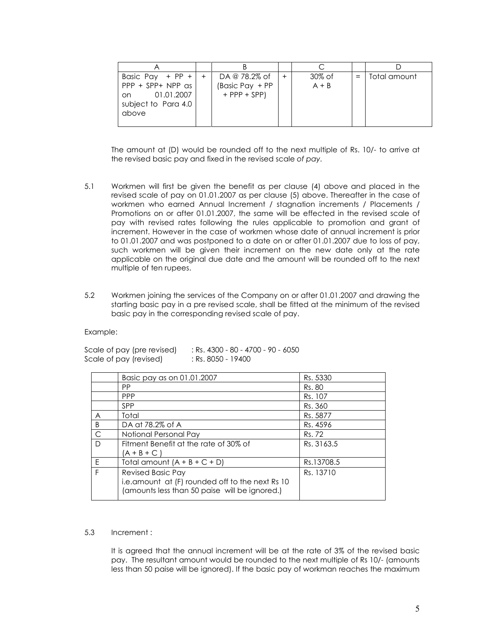| Basic Pay + PP + $ $ +<br>$PPP + SPP + NPP$ as<br>01.01.2007<br>on<br>subject to Para 4.0<br>above | DA @ 78.2% of<br>(Basic Pay + PP<br>$+$ PPP $+$ SPP) |  | 30% of<br>$A + B$ | Total amount |
|----------------------------------------------------------------------------------------------------|------------------------------------------------------|--|-------------------|--------------|

The amount at (D) would be rounded off to the next multiple of Rs. 10/- to arrive at the revised basic pay and fixed in the revised scale of pay.

- 5.1 Workmen will first be given the benefit as per clause (4) above and placed in the revised scale of pay on 01.01.2007 as per clause (5) above. Thereafter in the case of workmen who earned Annual Increment / stagnation increments / Placements / Promotions on or after 01.01.2007, the same will be effected in the revised scale of pay with revised rates following the rules applicable to promotion and grant of increment. However in the case of workmen whose date of annual increment is prior to 01.01.2007 and was postponed to a date on or after 01.01.2007 due to loss of pay, such workmen will be given their increment on the new date only at the rate applicable on the original due date and the amount will be rounded off to the next multiple of ten rupees.
- 5.2 Workmen joining the services of the Company on or after 01.01.2007 and drawing the starting basic pay in a pre revised scale, shall be fitted at the minimum of the revised basic pay in the corresponding revised scale of pay.

Example:

| Scale of pay (pre revised) | : Rs. 4300 - 80 - 4700 - 90 - 6050 |
|----------------------------|------------------------------------|
| Scale of pay (revised)     | : Rs. 8050 - 19400                 |

|              | Basic pay as on 01.01.2007                       | Rs. 5330   |
|--------------|--------------------------------------------------|------------|
|              | <b>PP</b>                                        | Rs. 80     |
|              | <b>PPP</b>                                       | Rs. 107    |
|              | <b>SPP</b>                                       | Rs. 360    |
| A            | Total                                            | Rs. 5877   |
| B            | DA at 78.2% of A                                 | Rs. 4596   |
| $\mathsf{C}$ | Notional Personal Pay                            | Rs. 72     |
| D            | Fitment Benefit at the rate of 30% of            | Rs. 3163.5 |
|              | (A + B + C )                                     |            |
| E            | Total amount $(A + B + C + D)$                   | Rs.13708.5 |
| E            | <b>Revised Basic Pay</b>                         | Rs. 13710  |
|              | i.e. amount at (F) rounded off to the next Rs 10 |            |
|              | (amounts less than 50 paise will be ignored.)    |            |
|              |                                                  |            |

#### 5.3 Increment :

It is agreed that the annual increment will be at the rate of 3% of the revised basic pay. The resultant amount would be rounded to the next multiple of Rs 10/- (amounts less than 50 paise will be ignored). If the basic pay of workman reaches the maximum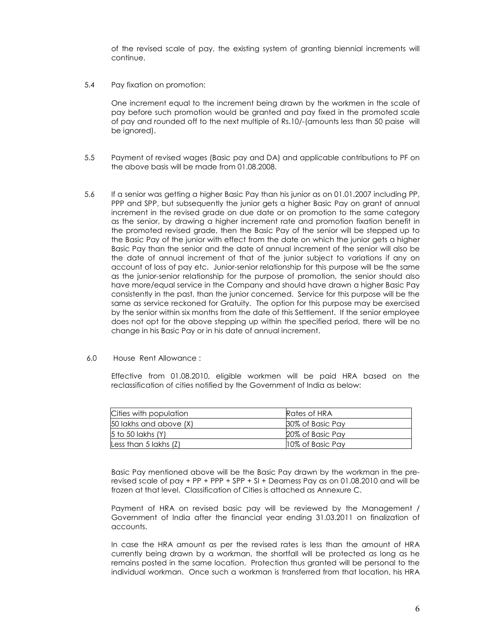of the revised scale of pay, the existing system of granting biennial increments will continue.

5.4 Pay fixation on promotion:

One increment equal to the increment being drawn by the workmen in the scale of pay before such promotion would be granted and pay fixed in the promoted scale of pay and rounded off to the next multiple of Rs.10/-(amounts less than 50 paise will be ignored).

- 5.5 Payment of revised wages (Basic pay and DA) and applicable contributions to PF on the above basis will be made from 01.08.2008.
- 5.6 If a senior was getting a higher Basic Pay than his junior as on 01.01.2007 including PP, PPP and SPP, but subsequently the junior gets a higher Basic Pay on grant of annual increment in the revised grade on due date or on promotion to the same category as the senior, by drawing a higher increment rate and promotion fixation benefit in the promoted revised grade, then the Basic Pay of the senior will be stepped up to the Basic Pay of the junior with effect from the date on which the junior gets a higher Basic Pay than the senior and the date of annual increment of the senior will also be the date of annual increment of that of the junior subject to variations if any on account of loss of pay etc. Junior-senior relationship for this purpose will be the same as the junior-senior relationship for the purpose of promotion, the senior should also have more/equal service in the Company and should have drawn a higher Basic Pay consistently in the past, than the junior concerned. Service for this purpose will be the same as service reckoned for Gratuity. The option for this purpose may be exercised by the senior within six months from the date of this Settlement. If the senior employee does not opt for the above stepping up within the specified period, there will be no change in his Basic Pay or in his date of annual increment.
- 6.0 House Rent Allowance :

Effective from 01.08.2010, eligible workmen will be paid HRA based on the reclassification of cities notified by the Government of India as below:

| Cities with population | Rates of HRA     |
|------------------------|------------------|
| 50 lakhs and above (X) | 30% of Basic Pav |
| 5 to 50 lakhs (Y)      | 20% of Basic Pay |
| Less than 5 lakhs (Z)  | 10% of Basic Pay |

Basic Pay mentioned above will be the Basic Pay drawn by the workman in the prerevised scale of pay + PP + PPP + SPP + SI + Dearness Pay as on 01.08.2010 and will be frozen at that level. Classification of Cities is attached as Annexure C.

Payment of HRA on revised basic pay will be reviewed by the Management / Government of India after the financial year ending 31.03.2011 on finalization of accounts.

In case the HRA amount as per the revised rates is less than the amount of HRA currently being drawn by a workman, the shortfall will be protected as long as he remains posted in the same location. Protection thus granted will be personal to the individual workman. Once such a workman is transferred from that location, his HRA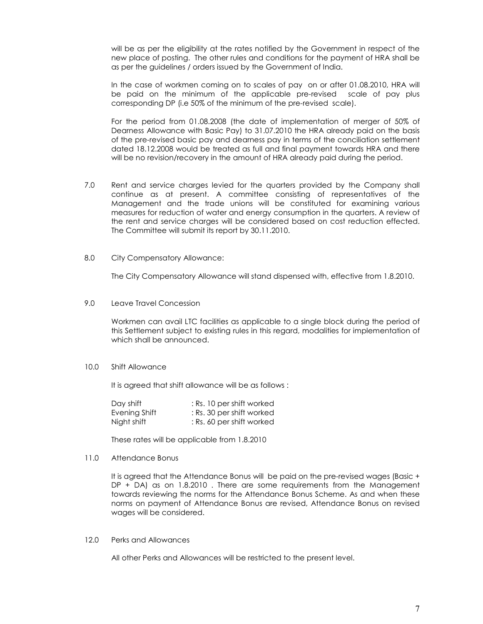will be as per the eligibility at the rates notified by the Government in respect of the new place of posting. The other rules and conditions for the payment of HRA shall be as per the guidelines / orders issued by the Government of India.

In the case of workmen coming on to scales of pay on or after 01.08.2010, HRA will be paid on the minimum of the applicable pre-revised scale of pay plus corresponding DP (i.e 50% of the minimum of the pre-revised scale).

For the period from 01.08.2008 (the date of implementation of merger of 50% of Dearness Allowance with Basic Pay) to 31.07.2010 the HRA already paid on the basis of the pre-revised basic pay and dearness pay in terms of the conciliation settlement dated 18.12.2008 would be treated as full and final payment towards HRA and there will be no revision/recovery in the amount of HRA already paid during the period.

- 7.0 Rent and service charges levied for the quarters provided by the Company shall continue as at present. A committee consisting of representatives of the Management and the trade unions will be constituted for examining various measures for reduction of water and energy consumption in the quarters. A review of the rent and service charges will be considered based on cost reduction effected. The Committee will submit its report by 30.11.2010.
- 8.0 City Compensatory Allowance:

The City Compensatory Allowance will stand dispensed with, effective from 1.8.2010.

9.0 Leave Travel Concession

Workmen can avail LTC facilities as applicable to a single block during the period of this Settlement subject to existing rules in this regard, modalities for implementation of which shall be announced.

#### 10.0 Shift Allowance

It is agreed that shift allowance will be as follows :

| Day shift     | : Rs. 10 per shift worked |
|---------------|---------------------------|
| Evening Shift | : Rs. 30 per shift worked |
| Night shift   | : Rs. 60 per shift worked |

These rates will be applicable from 1.8.2010

#### 11.0 Attendance Bonus

It is agreed that the Attendance Bonus will be paid on the pre-revised wages (Basic + DP + DA) as on 1.8.2010. There are some requirements from the Management towards reviewing the norms for the Attendance Bonus Scheme. As and when these norms on payment of Attendance Bonus are revised, Attendance Bonus on revised wages will be considered.

12.0 Perks and Allowances

All other Perks and Allowances will be restricted to the present level.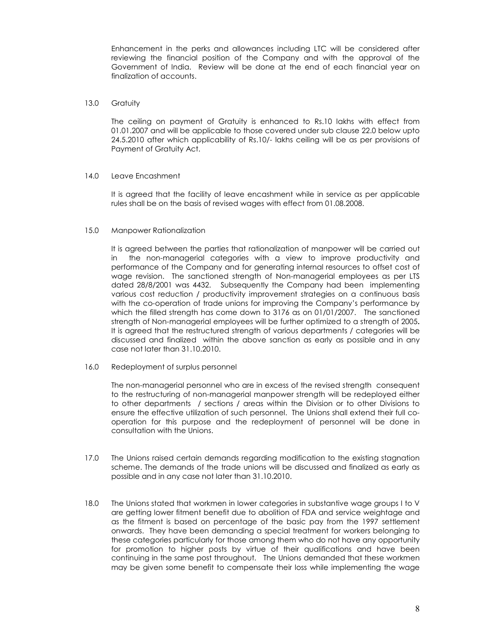Enhancement in the perks and allowances including LTC will be considered after reviewing the financial position of the Company and with the approval of the Government of India. Review will be done at the end of each financial year on finalization of accounts.

#### 13.0 Gratuity

The ceiling on payment of Gratuity is enhanced to Rs.10 lakhs with effect from 01.01.2007 and will be applicable to those covered under sub clause 22.0 below upto 24.5.2010 after which applicability of Rs.10/- lakhs ceiling will be as per provisions of Payment of Gratuity Act.

#### 14.0 Leave Encashment

It is agreed that the facility of leave encashment while in service as per applicable rules shall be on the basis of revised wages with effect from 01.08.2008.

#### 15.0 Manpower Rationalization

It is agreed between the parties that rationalization of manpower will be carried out in the non-managerial categories with a view to improve productivity and performance of the Company and for generating internal resources to offset cost of wage revision. The sanctioned strength of Non-managerial employees as per LTS dated 28/8/2001 was 4432. Subsequently the Company had been implementing various cost reduction / productivity improvement strategies on a continuous basis with the co-operation of trade unions for improving the Company's performance by which the filled strength has come down to 3176 as on 01/01/2007. The sanctioned strength of Non-managerial employees will be further optimized to a strength of 2005. It is agreed that the restructured strength of various departments / categories will be discussed and finalized within the above sanction as early as possible and in any case not later than 31.10.2010.

16.0 Redeployment of surplus personnel

The non-managerial personnel who are in excess of the revised strength consequent to the restructuring of non-managerial manpower strength will be redeployed either to other departments / sections / areas within the Division or to other Divisions to ensure the effective utilization of such personnel. The Unions shall extend their full cooperation for this purpose and the redeployment of personnel will be done in consultation with the Unions.

- 17.0 The Unions raised certain demands regarding modification to the existing stagnation scheme. The demands of the trade unions will be discussed and finalized as early as possible and in any case not later than 31.10.2010.
- 18.0 The Unions stated that workmen in lower categories in substantive wage groups I to V are getting lower fitment benefit due to abolition of FDA and service weightage and as the fitment is based on percentage of the basic pay from the 1997 settlement onwards. They have been demanding a special treatment for workers belonging to these categories particularly for those among them who do not have any opportunity for promotion to higher posts by virtue of their qualifications and have been continuing in the same post throughout. The Unions demanded that these workmen may be given some benefit to compensate their loss while implementing the wage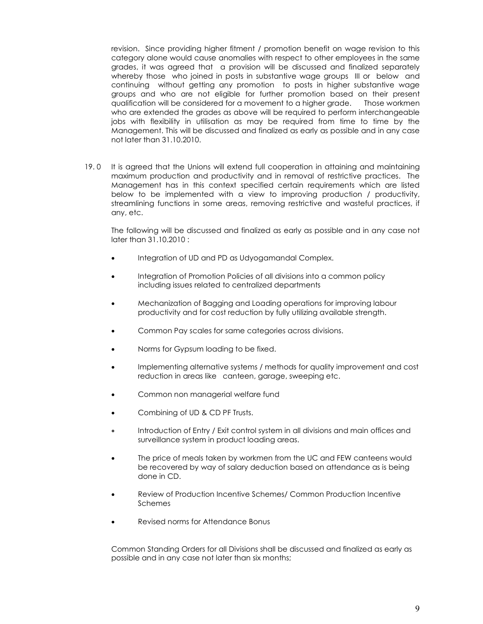revision. Since providing higher fitment / promotion benefit on wage revision to this category alone would cause anomalies with respect to other employees in the same grades, it was agreed that a provision will be discussed and finalized separately whereby those who joined in posts in substantive wage groups III or below and continuing without getting any promotion to posts in higher substantive wage groups and who are not eligible for further promotion based on their present qualification will be considered for a movement to a higher grade. Those workmen who are extended the grades as above will be required to perform interchangeable jobs with flexibility in utilisation as may be required from time to time by the Management. This will be discussed and finalized as early as possible and in any case not later than 31.10.2010.

19. 0 It is agreed that the Unions will extend full cooperation in attaining and maintaining maximum production and productivity and in removal of restrictive practices. The Management has in this context specified certain requirements which are listed below to be implemented with a view to improving production / productivity, streamlining functions in some areas, removing restrictive and wasteful practices, if any, etc.

The following will be discussed and finalized as early as possible and in any case not later than 31.10.2010 :

- Integration of UD and PD as Udyogamandal Complex.
- Integration of Promotion Policies of all divisions into a common policy including issues related to centralized departments
- Mechanization of Bagging and Loading operations for improving labour productivity and for cost reduction by fully utilizing available strength.
- Common Pay scales for same categories across divisions.
- Norms for Gypsum loading to be fixed.
- Implementing alternative systems / methods for quality improvement and cost reduction in areas like canteen, garage, sweeping etc.
- Common non managerial welfare fund
- Combining of UD & CD PF Trusts.
- Introduction of Entry / Exit control system in all divisions and main offices and surveillance system in product loading areas.
- The price of meals taken by workmen from the UC and FEW canteens would be recovered by way of salary deduction based on attendance as is being done in CD.
- Review of Production Incentive Schemes/ Common Production Incentive Schemes
- Revised norms for Attendance Bonus

Common Standing Orders for all Divisions shall be discussed and finalized as early as possible and in any case not later than six months;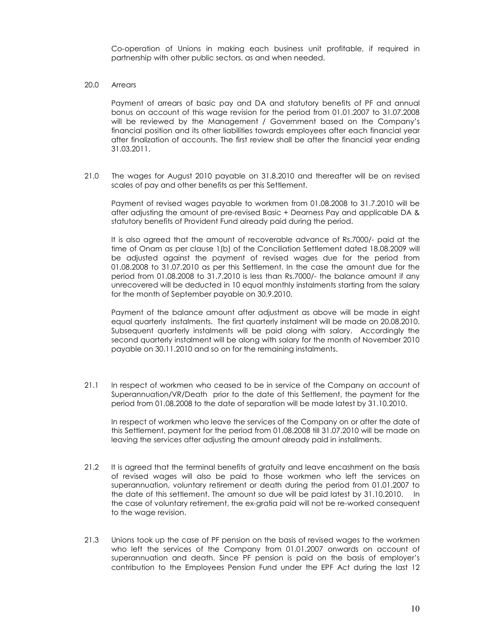Co-operation of Unions in making each business unit profitable, if required in partnership with other public sectors, as and when needed.

20.0 Arrears

Payment of arrears of basic pay and DA and statutory benefits of PF and annual bonus on account of this wage revision for the period from 01.01.2007 to 31.07.2008 will be reviewed by the Management / Government based on the Company's financial position and its other liabilities towards employees after each financial year after finalization of accounts. The first review shall be after the financial year ending 31.03.2011.

21.0 The wages for August 2010 payable on 31.8.2010 and thereafter will be on revised scales of pay and other benefits as per this Settlement.

 Payment of revised wages payable to workmen from 01.08.2008 to 31.7.2010 will be after adjusting the amount of pre-revised Basic + Dearness Pay and applicable DA & statutory benefits of Provident Fund already paid during the period.

 It is also agreed that the amount of recoverable advance of Rs.7000/- paid at the time of Onam as per clause 1(b) of the Conciliation Settlement dated 18.08.2009 will be adjusted against the payment of revised wages due for the period from 01.08.2008 to 31.07.2010 as per this Settlement. In the case the amount due for the period from 01.08.2008 to 31.7.2010 is less than Rs.7000/- the balance amount if any unrecovered will be deducted in 10 equal monthly instalments starting from the salary for the month of September payable on 30.9.2010.

Payment of the balance amount after adjustment as above will be made in eight equal quarterly instalments. The first quarterly instalment will be made on 20.08.2010. Subsequent quarterly instalments will be paid along with salary. Accordingly the second quarterly instalment will be along with salary for the month of November 2010 payable on 30.11.2010 and so on for the remaining instalments.

21.1 In respect of workmen who ceased to be in service of the Company on account of Superannuation/VR/Death prior to the date of this Settlement, the payment for the period from 01.08.2008 to the date of separation will be made latest by 31.10.2010.

 In respect of workmen who leave the services of the Company on or after the date of this Settlement, payment for the period from 01.08.2008 till 31.07.2010 will be made on leaving the services after adjusting the amount already paid in installments.

- 21.2 It is agreed that the terminal benefits of gratuity and leave encashment on the basis of revised wages will also be paid to those workmen who left the services on superannuation, voluntary retirement or death during the period from 01.01.2007 to the date of this settlement. The amount so due will be paid latest by 31.10.2010. In the case of voluntary retirement, the ex-gratia paid will not be re-worked consequent to the wage revision.
- 21.3 Unions took up the case of PF pension on the basis of revised wages to the workmen who left the services of the Company from 01.01.2007 onwards on account of superannuation and death. Since PF pension is paid on the basis of employer's contribution to the Employees Pension Fund under the EPF Act during the last 12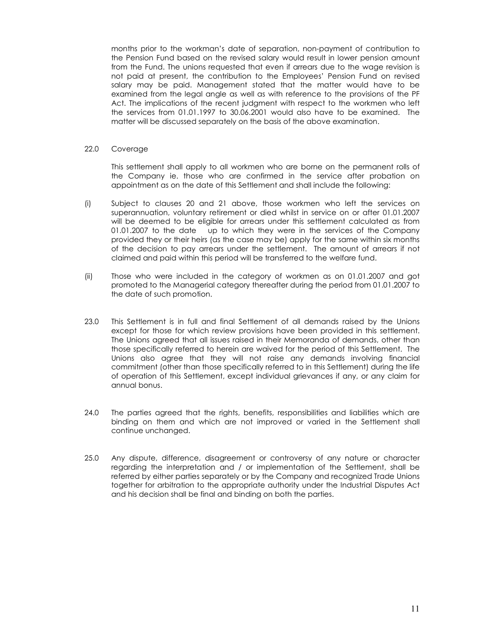months prior to the workman's date of separation, non-payment of contribution to the Pension Fund based on the revised salary would result in lower pension amount from the Fund. The unions requested that even if arrears due to the wage revision is not paid at present, the contribution to the Employees' Pension Fund on revised salary may be paid. Management stated that the matter would have to be examined from the legal angle as well as with reference to the provisions of the PF Act. The implications of the recent judgment with respect to the workmen who left the services from 01.01.1997 to 30.06.2001 would also have to be examined. The matter will be discussed separately on the basis of the above examination.

#### 22.0 Coverage

This settlement shall apply to all workmen who are borne on the permanent rolls of the Company ie. those who are confirmed in the service after probation on appointment as on the date of this Settlement and shall include the following:

- (i) Subject to clauses 20 and 21 above, those workmen who left the services on superannuation, voluntary retirement or died whilst in service on or after 01.01.2007 will be deemed to be eligible for arrears under this settlement calculated as from 01.01.2007 to the date up to which they were in the services of the Company provided they or their heirs (as the case may be) apply for the same within six months of the decision to pay arrears under the settlement. The amount of arrears if not claimed and paid within this period will be transferred to the welfare fund.
- (ii) Those who were included in the category of workmen as on 01.01.2007 and got promoted to the Managerial category thereafter during the period from 01.01.2007 to the date of such promotion.
- 23.0 This Settlement is in full and final Settlement of all demands raised by the Unions except for those for which review provisions have been provided in this settlement. The Unions agreed that all issues raised in their Memoranda of demands, other than those specifically referred to herein are waived for the period of this Settlement. The Unions also agree that they will not raise any demands involving financial commitment (other than those specifically referred to in this Settlement) during the life of operation of this Settlement, except individual grievances if any, or any claim for annual bonus.
- 24.0 The parties agreed that the rights, benefits, responsibilities and liabilities which are binding on them and which are not improved or varied in the Settlement shall continue unchanged.
- 25.0 Any dispute, difference, disagreement or controversy of any nature or character regarding the interpretation and / or implementation of the Settlement, shall be referred by either parties separately or by the Company and recognized Trade Unions together for arbitration to the appropriate authority under the Industrial Disputes Act and his decision shall be final and binding on both the parties.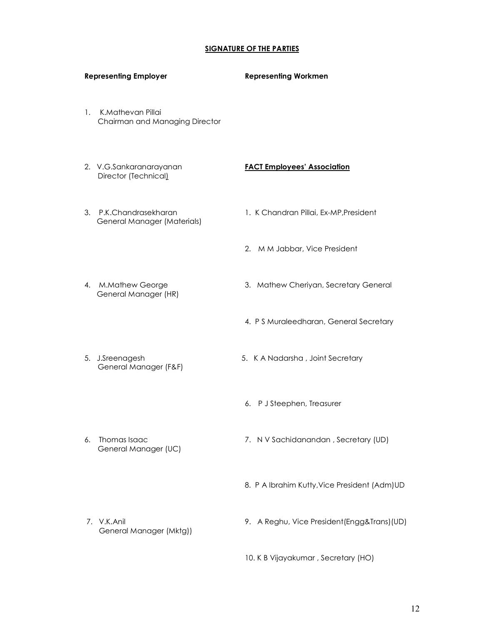# SIGNATURE OF THE PARTIES

|    | <b>Representing Employer</b>                          | <b>Representing Workmen</b>                   |
|----|-------------------------------------------------------|-----------------------------------------------|
| 1. | K.Mathevan Pillai<br>Chairman and Managing Director   |                                               |
|    | 2. V.G.Sankaranarayanan<br>Director (Technical)       | <b>FACT Employees' Association</b>            |
|    | 3. P.K.Chandrasekharan<br>General Manager (Materials) | 1. K Chandran Pillai, Ex-MP, President        |
|    |                                                       | M M Jabbar, Vice President<br>2.              |
|    | 4. M.Mathew George<br>General Manager (HR)            | 3. Mathew Cheriyan, Secretary General         |
|    |                                                       | 4. PS Muraleedharan, General Secretary        |
|    | 5. J.Sreenagesh<br>General Manager (F&F)              | 5. K A Nadarsha, Joint Secretary              |
|    |                                                       | 6. P J Steephen, Treasurer                    |
| 6. | Thomas Isaac<br>General Manager (UC)                  | 7. N V Sachidanandan, Secretary (UD)          |
|    |                                                       | 8. P A Ibrahim Kutty, Vice President (Adm) UD |
|    | 7. V.K.Anil<br>General Manager (Mktg))                | 9. A Reghu, Vice President (Engg&Trans) (UD)  |

10. K B Vijayakumar , Secretary (HO)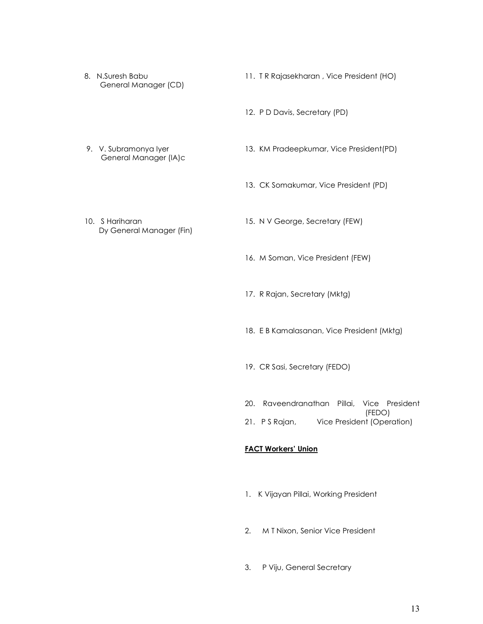- General Manager (CD)
- 8. N.Suresh Babu 11. T R Rajasekharan , Vice President (HO)
	- 12. P D Davis, Secretary (PD)

- General Manager (IA)c
- 9. V. Subramonya Iyer 13. KM Pradeepkumar, Vice President(PD)
	- 13. CK Somakumar, Vice President (PD)
- Dy General Manager (Fin)
- 10. S Hariharan 15. N V George, Secretary (FEW)
	- 16. M Soman, Vice President (FEW)
	- 17. R Rajan, Secretary (Mktg)
	- 18. E B Kamalasanan, Vice President (Mktg)
	- 19. CR Sasi, Secretary (FEDO)
	- 20. Raveendranathan Pillai, Vice President (FEDO)
	- 21. P S Rajan, Vice President (Operation)

## FACT Workers' Union

- 1. K Vijayan Pillai, Working President
- 2. M T Nixon, Senior Vice President
- 3. P Viju, General Secretary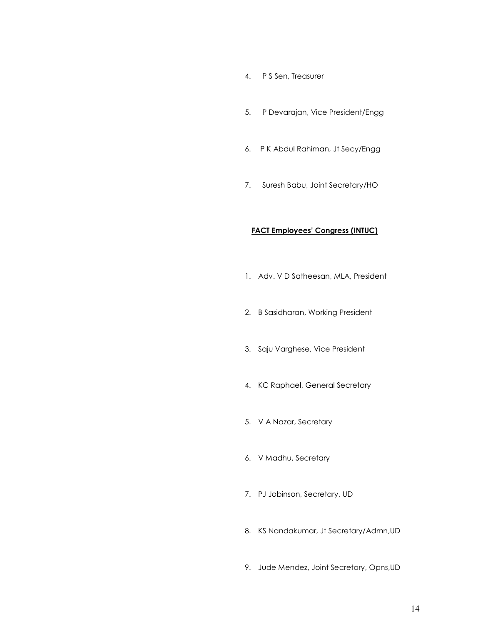- 4. P S Sen, Treasurer
- 5. P Devarajan, Vice President/Engg
- 6. P K Abdul Rahiman, Jt Secy/Engg
- 7. Suresh Babu, Joint Secretary/HO

## FACT Employees' Congress (INTUC)

- 1. Adv. V D Satheesan, MLA, President
- 2. B Sasidharan, Working President
- 3. Saju Varghese, Vice President
- 4. KC Raphael, General Secretary
- 5. V A Nazar, Secretary
- 6. V Madhu, Secretary
- 7. PJ Jobinson, Secretary, UD
- 8. KS Nandakumar, Jt Secretary/Admn,UD
- 9. Jude Mendez, Joint Secretary, Opns,UD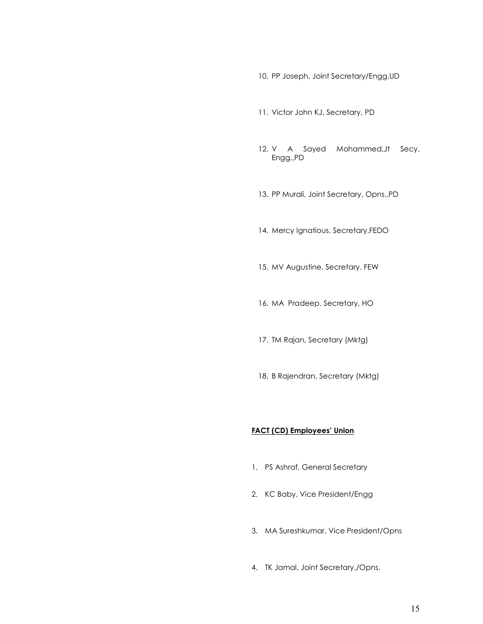10. PP Joseph, Joint Secretary/Engg,UD

- 11. Victor John KJ, Secretary, PD
- 12. V A Sayed Mohammed,Jt Secy, Engg.,PD
- 13. PP Murali, Joint Secretary, Opns.,PD
- 14. Mercy Ignatious, Secretary,FEDO
- 15. MV Augustine, Secretary. FEW
- 16. MA Pradeep, Secretary, HO
- 17. TM Rajan, Secretary (Mktg)
- 18. B Rajendran, Secretary (Mktg)

#### FACT (CD) Employees' Union

- 1. PS Ashraf, General Secretary
- 2. KC Baby, Vice President/Engg
- 3. MA Sureshkumar, Vice President/Opns
- 4. TK Jamal, Joint Secretary,/Opns.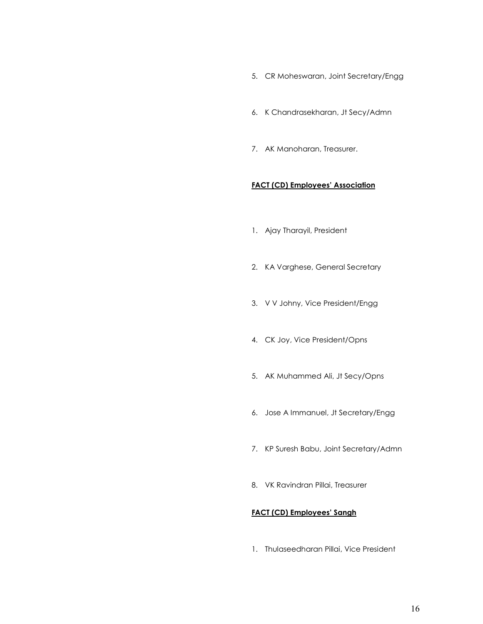- 5. CR Moheswaran, Joint Secretary/Engg
- 6. K Chandrasekharan, Jt Secy/Admn
- 7. AK Manoharan, Treasurer.

### FACT (CD) Employees' Association

- 1. Ajay Tharayil, President
- 2. KA Varghese, General Secretary
- 3. V V Johny, Vice President/Engg
- 4. CK Joy, Vice President/Opns
- 5. AK Muhammed Ali, Jt Secy/Opns
- 6. Jose A Immanuel, Jt Secretary/Engg
- 7. KP Suresh Babu, Joint Secretary/Admn
- 8. VK Ravindran Pillai, Treasurer

### FACT (CD) Employees' Sangh

1. Thulaseedharan Pillai, Vice President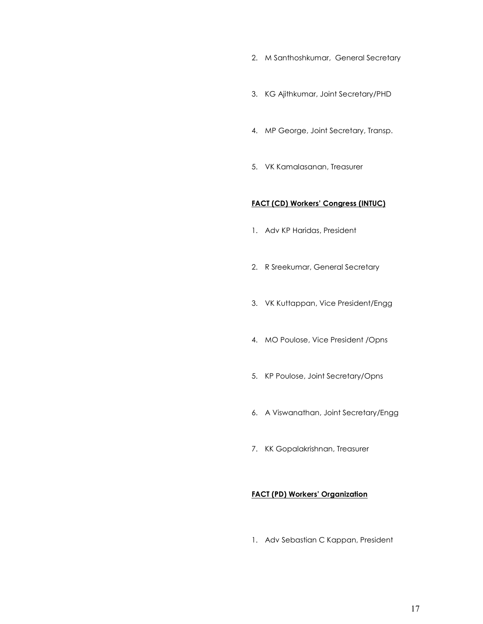- 2. M Santhoshkumar, General Secretary
- 3. KG Ajithkumar, Joint Secretary/PHD
- 4. MP George, Joint Secretary, Transp.
- 5. VK Kamalasanan, Treasurer

# FACT (CD) Workers' Congress (INTUC)

- 1. Adv KP Haridas, President
- 2. R Sreekumar, General Secretary
- 3. VK Kuttappan, Vice President/Engg
- 4. MO Poulose, Vice President /Opns
- 5. KP Poulose, Joint Secretary/Opns
- 6. A Viswanathan, Joint Secretary/Engg
- 7. KK Gopalakrishnan, Treasurer

# FACT (PD) Workers' Organization

1. Adv Sebastian C Kappan, President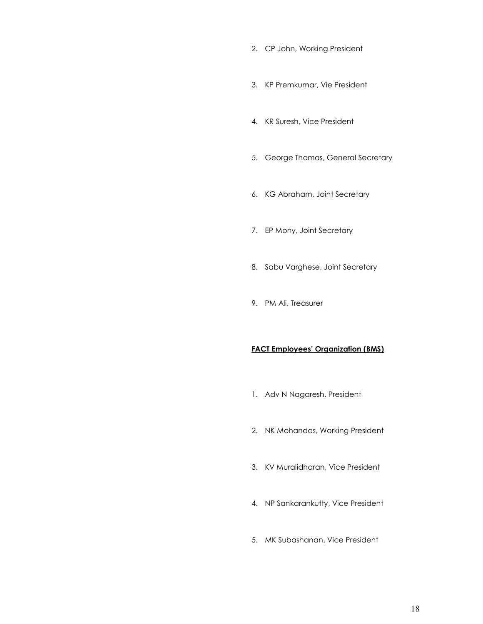- 2. CP John, Working President
- 3. KP Premkumar, Vie President
- 4. KR Suresh, Vice President
- 5. George Thomas, General Secretary
- 6. KG Abraham, Joint Secretary
- 7. EP Mony, Joint Secretary
- 8. Sabu Varghese, Joint Secretary
- 9. PM Ali, Treasurer

## FACT Employees' Organization (BMS)

- 1. Adv N Nagaresh, President
- 2. NK Mohandas, Working President
- 3. KV Muralidharan, Vice President
- 4. NP Sankarankutty, Vice President
- 5. MK Subashanan, Vice President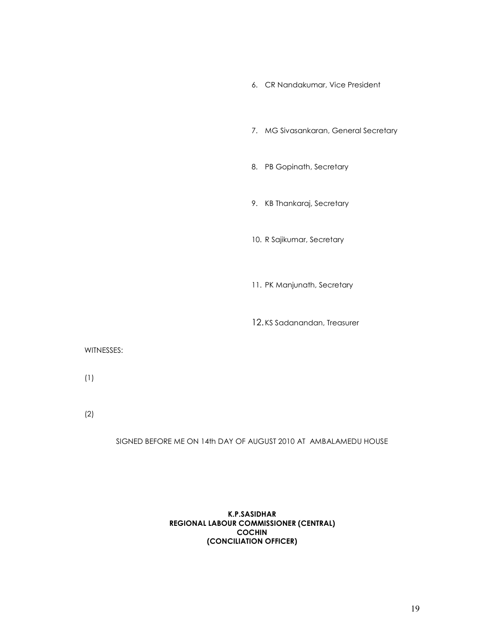- 6. CR Nandakumar, Vice President
- 7. MG Sivasankaran, General Secretary
- 8. PB Gopinath, Secretary
- 9. KB Thankaraj, Secretary
- 10. R Sajikumar, Secretary
- 11. PK Manjunath, Secretary
- 12.KS Sadanandan, Treasurer

#### WITNESSES:

- (1)
- (2)

#### SIGNED BEFORE ME ON 14th DAY OF AUGUST 2010 AT AMBALAMEDU HOUSE

## K.P.SASIDHAR REGIONAL LABOUR COMMISSIONER (CENTRAL) COCHIN (CONCILIATION OFFICER)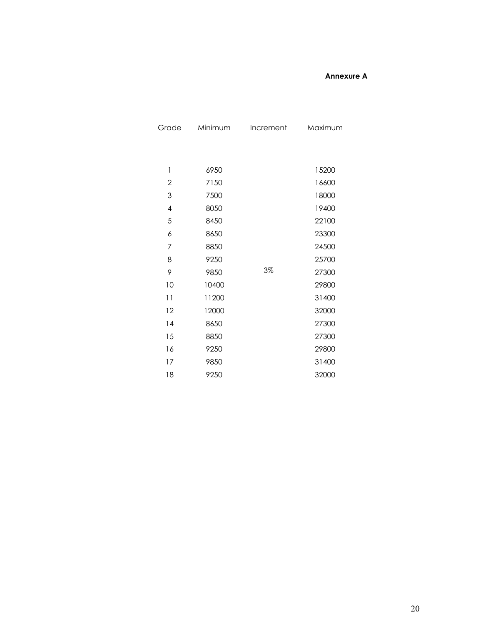### Annexure A

| Grade          | Minimum | Increment | Maximum |
|----------------|---------|-----------|---------|
|                |         |           |         |
|                |         |           |         |
| 1              | 6950    |           | 15200   |
| $\overline{2}$ | 7150    |           | 16600   |
| 3              | 7500    |           | 18000   |
| $\overline{4}$ | 8050    |           | 19400   |
| 5              | 8450    |           | 22100   |
| 6              | 8650    |           | 23300   |
| 7              | 8850    |           | 24500   |
| 8              | 9250    |           | 25700   |
| 9              | 9850    | $3\%$     | 27300   |
| 10             | 10400   |           | 29800   |
| 11             | 11200   |           | 31400   |
| 12             | 12000   |           | 32000   |
| 14             | 8650    |           | 27300   |
| 15             | 8850    |           | 27300   |
| 16             | 9250    |           | 29800   |
| 17             | 9850    |           | 31400   |
| 18             | 9250    |           | 32000   |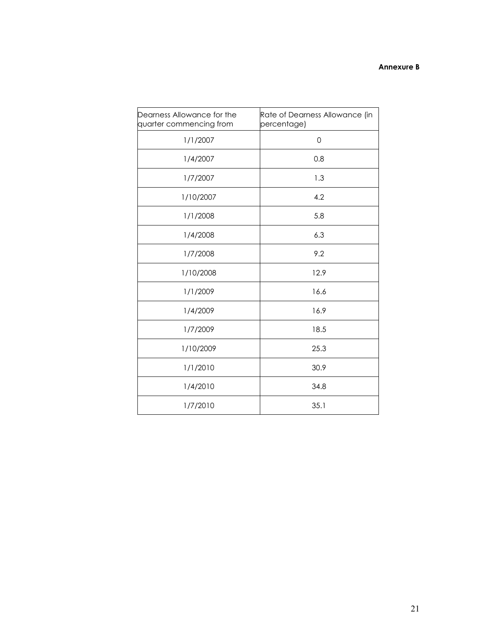## Annexure B

| Dearness Allowance for the<br>quarter commencing from | Rate of Dearness Allowance (in<br>percentage) |
|-------------------------------------------------------|-----------------------------------------------|
| 1/1/2007                                              | $\mathbf 0$                                   |
| 1/4/2007                                              | 0.8                                           |
| 1/7/2007                                              | 1.3                                           |
| 1/10/2007                                             | 4.2                                           |
| 1/1/2008                                              | 5.8                                           |
| 1/4/2008                                              | 6.3                                           |
| 1/7/2008                                              | 9.2                                           |
| 1/10/2008                                             | 12.9                                          |
| 1/1/2009                                              | 16.6                                          |
| 1/4/2009                                              | 16.9                                          |
| 1/7/2009                                              | 18.5                                          |
| 1/10/2009                                             | 25.3                                          |
| 1/1/2010                                              | 30.9                                          |
| 1/4/2010                                              | 34.8                                          |
| 1/7/2010                                              | 35.1                                          |